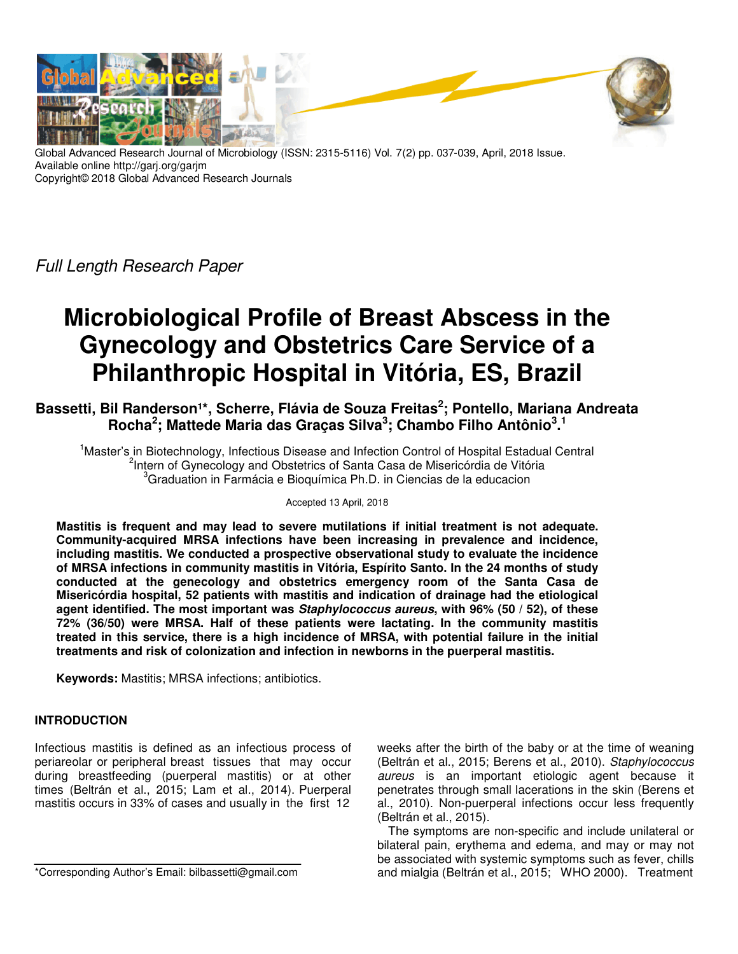

Global Advanced Research Journal of Microbiology (ISSN: 2315-5116) Vol. 7(2) pp. 037-039, April, 2018 Issue. Available online http://garj.org/garjm Copyright© 2018 Global Advanced Research Journals

Full Length Research Paper

# **Microbiological Profile of Breast Abscess in the Gynecology and Obstetrics Care Service of a Philanthropic Hospital in Vitória, ES, Brazil**

Bassetti, Bil Randerson<sup>1\*</sup>, Scherre, Flávia de Souza Freitas<sup>2</sup>; Pontello, Mariana Andreata **Rocha<sup>2</sup> ; Mattede Maria das Graças Silva<sup>3</sup> ; Chambo Filho Antônio<sup>3</sup> . 1**

<sup>1</sup>Master's in Biotechnology, Infectious Disease and Infection Control of Hospital Estadual Central <sup>2</sup>Intern of Gynecology and Obstetrics of Santa Casa de Misericórdia de Vitória <sup>3</sup>Graduation in Farmácia e Bioquímica Ph.D. in Ciencias de la educacion

Accepted 13 April, 2018

**Mastitis is frequent and may lead to severe mutilations if initial treatment is not adequate. Community-acquired MRSA infections have been increasing in prevalence and incidence, including mastitis. We conducted a prospective observational study to evaluate the incidence of MRSA infections in community mastitis in Vitória, Espírito Santo. In the 24 months of study conducted at the genecology and obstetrics emergency room of the Santa Casa de Misericórdia hospital, 52 patients with mastitis and indication of drainage had the etiological agent identified. The most important was Staphylococcus aureus, with 96% (50 / 52), of these 72% (36/50) were MRSA. Half of these patients were lactating. In the community mastitis treated in this service, there is a high incidence of MRSA, with potential failure in the initial treatments and risk of colonization and infection in newborns in the puerperal mastitis.** 

**Keywords:** Mastitis; MRSA infections; antibiotics.

# **INTRODUCTION**

Infectious mastitis is defined as an infectious process of periareolar or peripheral breast tissues that may occur during breastfeeding (puerperal mastitis) or at other times (Beltrán et al., 2015; Lam et al., 2014). Puerperal mastitis occurs in 33% of cases and usually in the first 12

\*Corresponding Author's Email: bilbassetti@gmail.com

weeks after the birth of the baby or at the time of weaning (Beltrán et al., 2015; Berens et al., 2010). Staphylococcus aureus is an important etiologic agent because it penetrates through small lacerations in the skin (Berens et al., 2010). Non-puerperal infections occur less frequently (Beltrán et al., 2015).

The symptoms are non-specific and include unilateral or bilateral pain, erythema and edema, and may or may not be associated with systemic symptoms such as fever, chills and mialgia (Beltrán et al., 2015; WHO 2000). Treatment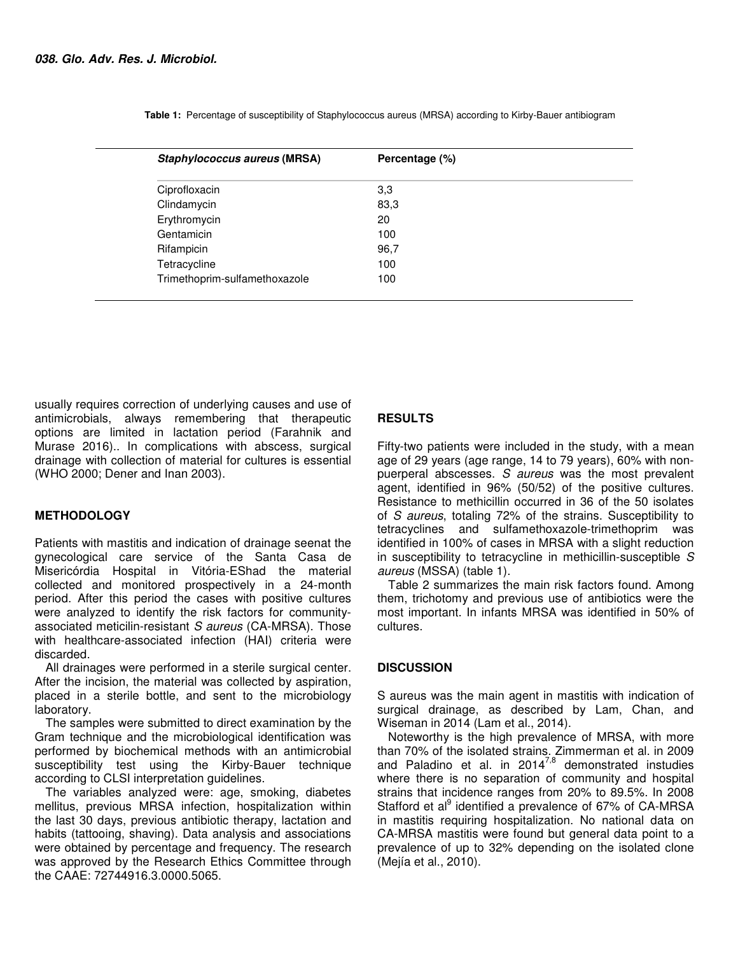| Staphylococcus aureus (MRSA)  | Percentage (%) |
|-------------------------------|----------------|
| Ciprofloxacin                 | 3,3            |
| Clindamycin                   | 83,3           |
| Erythromycin                  | 20             |
| Gentamicin                    | 100            |
| Rifampicin                    | 96,7           |
| Tetracycline                  | 100            |
| Trimethoprim-sulfamethoxazole | 100            |

 **Table 1:** Percentage of susceptibility of Staphylococcus aureus (MRSA) according to Kirby-Bauer antibiogram

usually requires correction of underlying causes and use of antimicrobials, always remembering that therapeutic options are limited in lactation period (Farahnik and Murase 2016).. In complications with abscess, surgical drainage with collection of material for cultures is essential (WHO 2000; Dener and Inan 2003).

## **METHODOLOGY**

Patients with mastitis and indication of drainage seenat the gynecological care service of the Santa Casa de Misericórdia Hospital in Vitória-EShad the material collected and monitored prospectively in a 24-month period. After this period the cases with positive cultures were analyzed to identify the risk factors for communityassociated meticilin-resistant S aureus (CA-MRSA). Those with healthcare-associated infection (HAI) criteria were discarded.

All drainages were performed in a sterile surgical center. After the incision, the material was collected by aspiration, placed in a sterile bottle, and sent to the microbiology laboratory.

The samples were submitted to direct examination by the Gram technique and the microbiological identification was performed by biochemical methods with an antimicrobial susceptibility test using the Kirby-Bauer technique according to CLSI interpretation guidelines.

The variables analyzed were: age, smoking, diabetes mellitus, previous MRSA infection, hospitalization within the last 30 days, previous antibiotic therapy, lactation and habits (tattooing, shaving). Data analysis and associations were obtained by percentage and frequency. The research was approved by the Research Ethics Committee through the CAAE: 72744916.3.0000.5065.

# **RESULTS**

Fifty-two patients were included in the study, with a mean age of 29 years (age range, 14 to 79 years), 60% with nonpuerperal abscesses. S aureus was the most prevalent agent, identified in 96% (50/52) of the positive cultures. Resistance to methicillin occurred in 36 of the 50 isolates of S aureus, totaling 72% of the strains. Susceptibility to tetracyclines and sulfamethoxazole-trimethoprim was identified in 100% of cases in MRSA with a slight reduction in susceptibility to tetracycline in methicillin-susceptible S aureus (MSSA) (table 1).

Table 2 summarizes the main risk factors found. Among them, trichotomy and previous use of antibiotics were the most important. In infants MRSA was identified in 50% of cultures.

## **DISCUSSION**

S aureus was the main agent in mastitis with indication of surgical drainage, as described by Lam, Chan, and Wiseman in 2014 (Lam et al., 2014).

Noteworthy is the high prevalence of MRSA, with more than 70% of the isolated strains. Zimmerman et al. in 2009 and Paladino et al. in 2014 $^{7,8}$  demonstrated instudies where there is no separation of community and hospital strains that incidence ranges from 20% to 89.5%. In 2008 Stafford et al<sup>9</sup> identified a prevalence of 67% of CA-MRSA in mastitis requiring hospitalization. No national data on CA-MRSA mastitis were found but general data point to a prevalence of up to 32% depending on the isolated clone (Mejía et al., 2010).